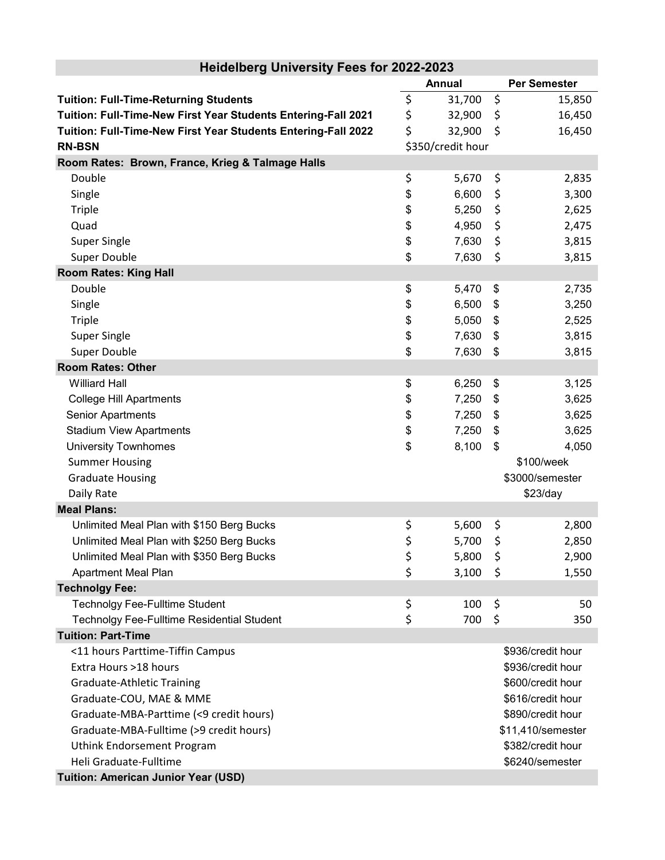|                                                               | <b>Annual</b> |                   | <b>Per Semester</b> |  |
|---------------------------------------------------------------|---------------|-------------------|---------------------|--|
| <b>Tuition: Full-Time-Returning Students</b>                  | \$            | 31,700            | \$<br>15,850        |  |
| Tuition: Full-Time-New First Year Students Entering-Fall 2021 | \$            | 32,900            | \$<br>16,450        |  |
| Tuition: Full-Time-New First Year Students Entering-Fall 2022 | \$            | 32,900            | \$<br>16,450        |  |
| <b>RN-BSN</b>                                                 |               | \$350/credit hour |                     |  |
| Room Rates: Brown, France, Krieg & Talmage Halls              |               |                   |                     |  |
| Double                                                        | \$            | 5,670             | \$<br>2,835         |  |
| Single                                                        | \$            | 6,600             | \$<br>3,300         |  |
| <b>Triple</b>                                                 | \$            | 5,250             | \$<br>2,625         |  |
| Quad                                                          | \$            | 4,950             | \$<br>2,475         |  |
| <b>Super Single</b>                                           | \$            | 7,630             | \$<br>3,815         |  |
| <b>Super Double</b>                                           | \$            | 7,630             | \$<br>3,815         |  |
| <b>Room Rates: King Hall</b>                                  |               |                   |                     |  |
| Double                                                        | \$            | 5,470             | \$<br>2,735         |  |
| Single                                                        | \$            | 6,500             | \$<br>3,250         |  |
| <b>Triple</b>                                                 | \$            | 5,050             | \$<br>2,525         |  |
| <b>Super Single</b>                                           | \$            | 7,630             | \$<br>3,815         |  |
| Super Double                                                  | \$            | 7,630             | \$<br>3,815         |  |
| <b>Room Rates: Other</b>                                      |               |                   |                     |  |
| <b>Williard Hall</b>                                          | \$            | 6,250             | \$<br>3,125         |  |
| <b>College Hill Apartments</b>                                | \$            | 7,250             | \$<br>3,625         |  |
| Senior Apartments                                             | \$            | 7,250             | \$<br>3,625         |  |
| <b>Stadium View Apartments</b>                                | \$            | 7,250             | \$<br>3,625         |  |
| <b>University Townhomes</b>                                   | \$            | 8,100             | \$<br>4,050         |  |
| <b>Summer Housing</b>                                         |               |                   | \$100/week          |  |
| <b>Graduate Housing</b>                                       |               |                   | \$3000/semester     |  |
| Daily Rate                                                    |               |                   | \$23/day            |  |
| <b>Meal Plans:</b>                                            |               |                   |                     |  |
| Unlimited Meal Plan with \$150 Berg Bucks                     | \$            | 5,600             | \$<br>2,800         |  |
| Unlimited Meal Plan with \$250 Berg Bucks                     | \$            | 5,700             | \$<br>2,850         |  |
| Unlimited Meal Plan with \$350 Berg Bucks                     | \$            | 5,800             | \$<br>2,900         |  |
| <b>Apartment Meal Plan</b>                                    | \$            | 3,100             | \$<br>1,550         |  |
| <b>Technolgy Fee:</b>                                         |               |                   |                     |  |
| <b>Technolgy Fee-Fulltime Student</b>                         | \$            | 100               | \$<br>50            |  |
| Technolgy Fee-Fulltime Residential Student                    | \$            | 700               | \$<br>350           |  |
| <b>Tuition: Part-Time</b>                                     |               |                   |                     |  |
| <11 hours Parttime-Tiffin Campus                              |               |                   | \$936/credit hour   |  |
| Extra Hours >18 hours                                         |               |                   | \$936/credit hour   |  |
| <b>Graduate-Athletic Training</b>                             |               |                   | \$600/credit hour   |  |
| Graduate-COU, MAE & MME                                       |               |                   | \$616/credit hour   |  |
| Graduate-MBA-Parttime (<9 credit hours)                       |               |                   | \$890/credit hour   |  |
| Graduate-MBA-Fulltime (>9 credit hours)                       |               |                   | \$11,410/semester   |  |
| Uthink Endorsement Program                                    |               |                   | \$382/credit hour   |  |
| Heli Graduate-Fulltime                                        |               |                   | \$6240/semester     |  |
| Tuition: American Junior Year (USD)                           |               |                   |                     |  |

## **Heidelberg University Fees for 2022-2023**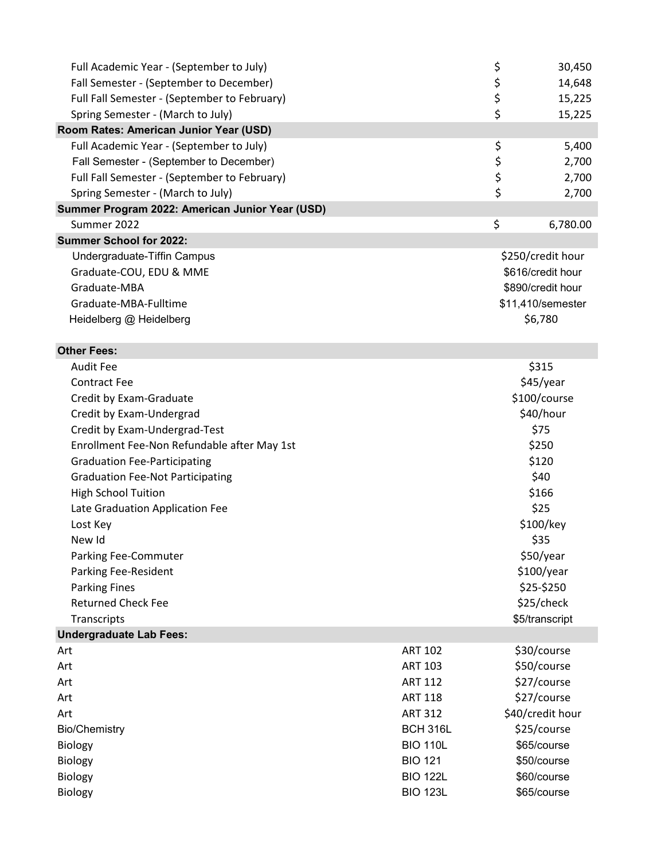| Full Academic Year - (September to July)        |                 | \$                | 30,450   |
|-------------------------------------------------|-----------------|-------------------|----------|
| Fall Semester - (September to December)         |                 |                   | 14,648   |
| Full Fall Semester - (September to February)    |                 | \$<br>\$          | 15,225   |
| Spring Semester - (March to July)               |                 | \$                | 15,225   |
| Room Rates: American Junior Year (USD)          |                 |                   |          |
| Full Academic Year - (September to July)        |                 | \$                | 5,400    |
| Fall Semester - (September to December)         |                 |                   | 2,700    |
| Full Fall Semester - (September to February)    |                 | \$<br>\$          | 2,700    |
| Spring Semester - (March to July)               |                 | \$                | 2,700    |
| Summer Program 2022: American Junior Year (USD) |                 |                   |          |
| Summer 2022                                     |                 | \$                | 6,780.00 |
| <b>Summer School for 2022:</b>                  |                 |                   |          |
| Undergraduate-Tiffin Campus                     |                 | \$250/credit hour |          |
| Graduate-COU, EDU & MME                         |                 | \$616/credit hour |          |
| Graduate-MBA                                    |                 | \$890/credit hour |          |
| Graduate-MBA-Fulltime                           |                 | \$11,410/semester |          |
| Heidelberg @ Heidelberg                         |                 | \$6,780           |          |
|                                                 |                 |                   |          |
| <b>Other Fees:</b>                              |                 |                   |          |
| <b>Audit Fee</b>                                |                 | \$315             |          |
| <b>Contract Fee</b>                             |                 | \$45/year         |          |
| Credit by Exam-Graduate                         |                 | \$100/course      |          |
| Credit by Exam-Undergrad                        |                 | \$40/hour         |          |
| Credit by Exam-Undergrad-Test                   |                 | \$75              |          |
| Enrollment Fee-Non Refundable after May 1st     |                 | \$250             |          |
| <b>Graduation Fee-Participating</b>             |                 | \$120             |          |
| <b>Graduation Fee-Not Participating</b>         |                 | \$40              |          |
| <b>High School Tuition</b>                      |                 | \$166             |          |
| Late Graduation Application Fee                 |                 | \$25              |          |
| Lost Key                                        |                 | \$100/key         |          |
| New Id                                          |                 | \$35              |          |
| <b>Parking Fee-Commuter</b>                     |                 | \$50/year         |          |
| <b>Parking Fee-Resident</b>                     |                 | \$100/year        |          |
| <b>Parking Fines</b>                            |                 | \$25-\$250        |          |
| <b>Returned Check Fee</b>                       |                 | \$25/check        |          |
| Transcripts                                     |                 | \$5/transcript    |          |
| <b>Undergraduate Lab Fees:</b>                  |                 |                   |          |
| Art                                             | <b>ART 102</b>  | \$30/course       |          |
| Art                                             | <b>ART 103</b>  | \$50/course       |          |
| Art                                             | <b>ART 112</b>  | \$27/course       |          |
| Art                                             | <b>ART 118</b>  | \$27/course       |          |
| Art                                             | <b>ART 312</b>  | \$40/credit hour  |          |
| <b>Bio/Chemistry</b>                            | <b>BCH 316L</b> | \$25/course       |          |
| Biology                                         | <b>BIO 110L</b> | \$65/course       |          |
| Biology                                         | <b>BIO 121</b>  | \$50/course       |          |
| Biology                                         | <b>BIO 122L</b> | \$60/course       |          |
| Biology                                         | <b>BIO 123L</b> | \$65/course       |          |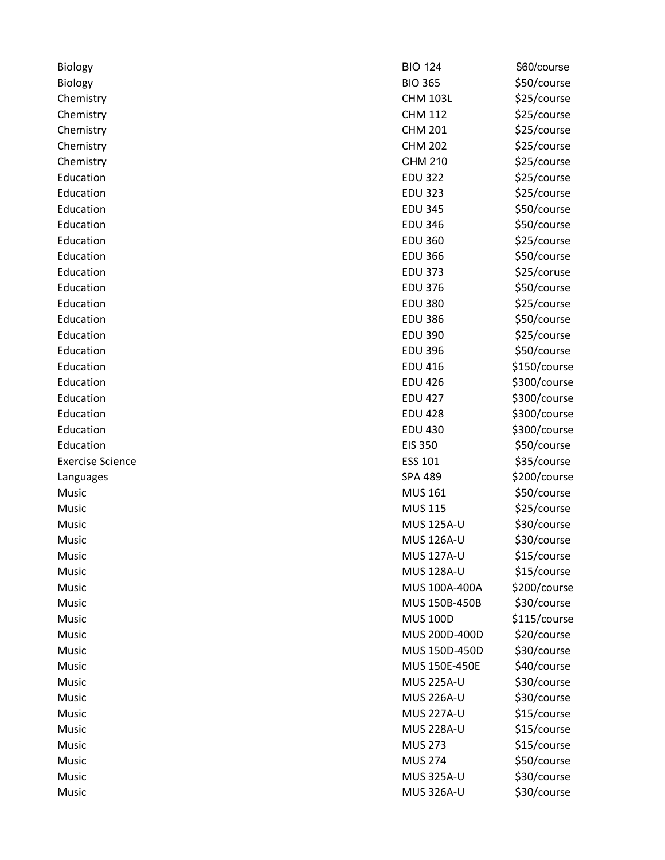| Biology                 | <b>BIO 124</b>    | \$60/course  |
|-------------------------|-------------------|--------------|
| Biology                 | <b>BIO 365</b>    | \$50/course  |
| Chemistry               | <b>CHM 103L</b>   | \$25/course  |
| Chemistry               | <b>CHM 112</b>    | \$25/course  |
| Chemistry               | <b>CHM 201</b>    | \$25/course  |
| Chemistry               | <b>CHM 202</b>    | \$25/course  |
| Chemistry               | <b>CHM 210</b>    | \$25/course  |
| Education               | <b>EDU 322</b>    | \$25/course  |
| Education               | <b>EDU 323</b>    | \$25/course  |
| Education               | <b>EDU 345</b>    | \$50/course  |
| Education               | <b>EDU 346</b>    | \$50/course  |
| Education               | <b>EDU 360</b>    | \$25/course  |
| Education               | <b>EDU 366</b>    | \$50/course  |
| Education               | <b>EDU 373</b>    | \$25/coruse  |
| Education               | <b>EDU 376</b>    | \$50/course  |
| Education               | <b>EDU 380</b>    | \$25/course  |
| Education               | <b>EDU 386</b>    | \$50/course  |
| Education               | <b>EDU 390</b>    | \$25/course  |
| Education               | <b>EDU 396</b>    | \$50/course  |
| Education               | <b>EDU 416</b>    | \$150/course |
| Education               | <b>EDU 426</b>    | \$300/course |
| Education               | <b>EDU 427</b>    | \$300/course |
| Education               | <b>EDU 428</b>    | \$300/course |
| Education               | <b>EDU 430</b>    | \$300/course |
| Education               | <b>EIS 350</b>    | \$50/course  |
| <b>Exercise Science</b> | <b>ESS 101</b>    | \$35/course  |
| Languages               | <b>SPA 489</b>    | \$200/course |
| Music                   | <b>MUS 161</b>    | \$50/course  |
| Music                   | <b>MUS 115</b>    | \$25/course  |
| Music                   | <b>MUS 125A-U</b> | \$30/course  |
| Music                   | <b>MUS 126A-U</b> | \$30/course  |
| Music                   | <b>MUS 127A-U</b> | \$15/course  |
| Music                   | MUS 128A-U        | \$15/course  |
| Music                   | MUS 100A-400A     | \$200/course |
| Music                   | MUS 150B-450B     | \$30/course  |
| Music                   | <b>MUS 100D</b>   | \$115/course |
| Music                   | MUS 200D-400D     | \$20/course  |
| Music                   | MUS 150D-450D     | \$30/course  |
| Music                   | MUS 150E-450E     | \$40/course  |
| Music                   | <b>MUS 225A-U</b> | \$30/course  |
| Music                   | <b>MUS 226A-U</b> | \$30/course  |
| Music                   | <b>MUS 227A-U</b> | \$15/course  |
| Music                   | <b>MUS 228A-U</b> | \$15/course  |
| Music                   | <b>MUS 273</b>    | \$15/course  |
| Music                   | <b>MUS 274</b>    | \$50/course  |
| Music                   | <b>MUS 325A-U</b> | \$30/course  |
| Music                   | <b>MUS 326A-U</b> | \$30/course  |